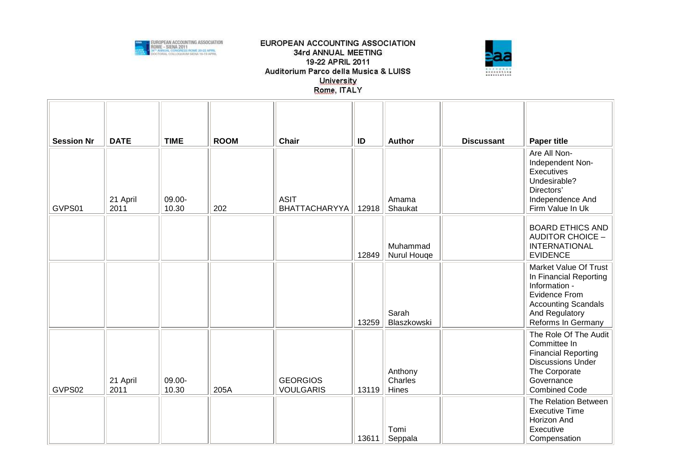



| <b>Session Nr</b> | <b>DATE</b>      | <b>TIME</b>     | <b>ROOM</b> | <b>Chair</b>                        | ID    | <b>Author</b>               | <b>Discussant</b> | <b>Paper title</b>                                                                                                                                      |
|-------------------|------------------|-----------------|-------------|-------------------------------------|-------|-----------------------------|-------------------|---------------------------------------------------------------------------------------------------------------------------------------------------------|
| GVPS01            | 21 April<br>2011 | 09.00-<br>10.30 | 202         | <b>ASIT</b><br><b>BHATTACHARYYA</b> | 12918 | Amama<br>Shaukat            |                   | Are All Non-<br>Independent Non-<br>Executives<br>Undesirable?<br>Directors'<br>Independence And<br>Firm Value In Uk                                    |
|                   |                  |                 |             |                                     | 12849 | Muhammad<br>Nurul Houge     |                   | <b>BOARD ETHICS AND</b><br><b>AUDITOR CHOICE -</b><br><b>INTERNATIONAL</b><br><b>EVIDENCE</b>                                                           |
|                   |                  |                 |             |                                     | 13259 | Sarah<br>Blaszkowski        |                   | Market Value Of Trust<br>In Financial Reporting<br>Information -<br>Evidence From<br><b>Accounting Scandals</b><br>And Regulatory<br>Reforms In Germany |
| GVPS02            | 21 April<br>2011 | 09.00-<br>10.30 | 205A        | <b>GEORGIOS</b><br><b>VOULGARIS</b> | 13119 | Anthony<br>Charles<br>Hines |                   | The Role Of The Audit<br>Committee In<br><b>Financial Reporting</b><br><b>Discussions Under</b><br>The Corporate<br>Governance<br><b>Combined Code</b>  |
|                   |                  |                 |             |                                     | 13611 | Tomi<br>Seppala             |                   | The Relation Between<br><b>Executive Time</b><br>Horizon And<br>Executive<br>Compensation                                                               |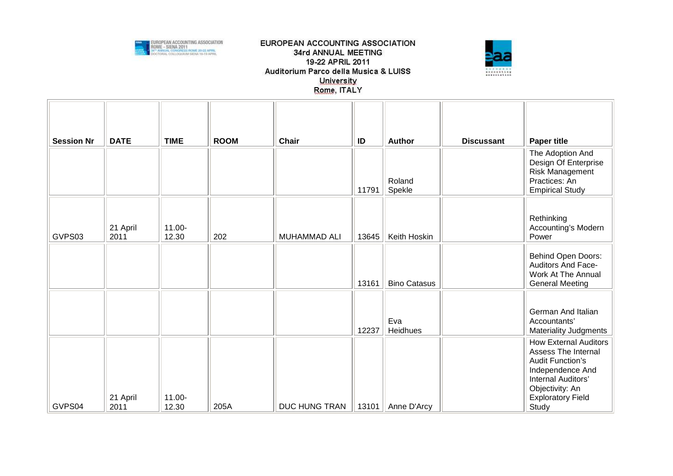



| <b>Session Nr</b> | <b>DATE</b>      | <b>TIME</b>     | <b>ROOM</b> | <b>Chair</b>        | ID    | <b>Author</b>       | <b>Discussant</b> | <b>Paper title</b>                                                                                                                                                               |
|-------------------|------------------|-----------------|-------------|---------------------|-------|---------------------|-------------------|----------------------------------------------------------------------------------------------------------------------------------------------------------------------------------|
|                   |                  |                 |             |                     | 11791 | Roland<br>Spekle    |                   | The Adoption And<br>Design Of Enterprise<br>Risk Management<br>Practices: An<br><b>Empirical Study</b>                                                                           |
| GVPS03            | 21 April<br>2011 | 11.00-<br>12.30 | 202         | <b>MUHAMMAD ALI</b> | 13645 | Keith Hoskin        |                   | Rethinking<br>Accounting's Modern<br>Power                                                                                                                                       |
|                   |                  |                 |             |                     | 13161 | <b>Bino Catasus</b> |                   | Behind Open Doors:<br><b>Auditors And Face-</b><br>Work At The Annual<br><b>General Meeting</b>                                                                                  |
|                   |                  |                 |             |                     | 12237 | Eva<br>Heidhues     |                   | German And Italian<br>Accountants'<br><b>Materiality Judgments</b>                                                                                                               |
| GVPS04            | 21 April<br>2011 | 11.00-<br>12.30 | 205A        | DUC HUNG TRAN       | 13101 | Anne D'Arcy         |                   | <b>How External Auditors</b><br>Assess The Internal<br><b>Audit Function's</b><br>Independence And<br>Internal Auditors'<br>Objectivity: An<br><b>Exploratory Field</b><br>Study |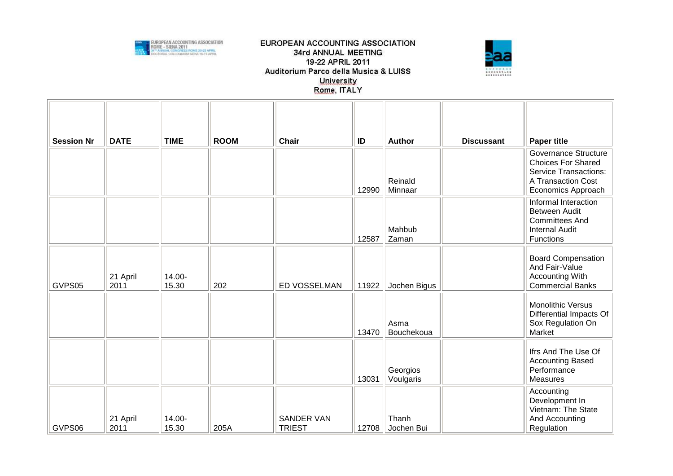



| <b>Session Nr</b> | <b>DATE</b>      | <b>TIME</b>     | <b>ROOM</b> | <b>Chair</b>                       | ID    | <b>Author</b>         | <b>Discussant</b> | <b>Paper title</b>                                                                                   |
|-------------------|------------------|-----------------|-------------|------------------------------------|-------|-----------------------|-------------------|------------------------------------------------------------------------------------------------------|
|                   |                  |                 |             |                                    |       |                       |                   | Governance Structure<br><b>Choices For Shared</b>                                                    |
|                   |                  |                 |             |                                    |       | Reinald               |                   | <b>Service Transactions:</b><br>A Transaction Cost                                                   |
|                   |                  |                 |             |                                    | 12990 | Minnaar               |                   | Economics Approach                                                                                   |
|                   |                  |                 |             |                                    | 12587 | Mahbub<br>Zaman       |                   | Informal Interaction<br>Between Audit<br><b>Committees And</b><br><b>Internal Audit</b><br>Functions |
| GVPS05            | 21 April<br>2011 | 14.00-<br>15.30 | 202         | ED VOSSELMAN                       | 11922 | Jochen Bigus          |                   | <b>Board Compensation</b><br>And Fair-Value<br><b>Accounting With</b><br><b>Commercial Banks</b>     |
|                   |                  |                 |             |                                    | 13470 | Asma<br>Bouchekoua    |                   | Monolithic Versus<br>Differential Impacts Of<br>Sox Regulation On<br>Market                          |
|                   |                  |                 |             |                                    | 13031 | Georgios<br>Voulgaris |                   | Ifrs And The Use Of<br><b>Accounting Based</b><br>Performance<br><b>Measures</b>                     |
| GVPS06            | 21 April<br>2011 | 14.00-<br>15.30 | 205A        | <b>SANDER VAN</b><br><b>TRIEST</b> | 12708 | Thanh<br>Jochen Bui   |                   | Accounting<br>Development In<br>Vietnam: The State<br>And Accounting<br>Regulation                   |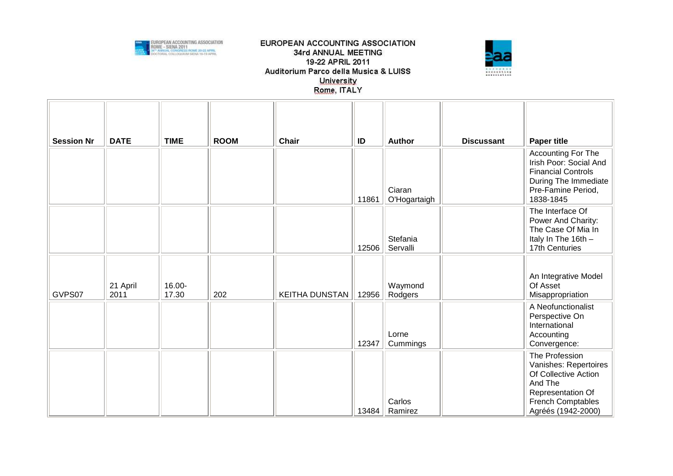



| <b>Session Nr</b> | <b>DATE</b>      | <b>TIME</b>     | <b>ROOM</b> | <b>Chair</b>          | ID    | <b>Author</b>          | <b>Discussant</b> | <b>Paper title</b>                                                                                                                                |
|-------------------|------------------|-----------------|-------------|-----------------------|-------|------------------------|-------------------|---------------------------------------------------------------------------------------------------------------------------------------------------|
|                   |                  |                 |             |                       | 11861 | Ciaran<br>O'Hogartaigh |                   | Accounting For The<br>Irish Poor: Social And<br><b>Financial Controls</b><br>During The Immediate<br>Pre-Famine Period,<br>1838-1845              |
|                   |                  |                 |             |                       | 12506 | Stefania<br>Servalli   |                   | The Interface Of<br>Power And Charity:<br>The Case Of Mia In<br>Italy In The 16th -<br>17th Centuries                                             |
| GVPS07            | 21 April<br>2011 | 16.00-<br>17.30 | 202         | <b>KEITHA DUNSTAN</b> | 12956 | Waymond<br>Rodgers     |                   | An Integrative Model<br>Of Asset<br>Misappropriation                                                                                              |
|                   |                  |                 |             |                       | 12347 | Lorne<br>Cummings      |                   | A Neofunctionalist<br>Perspective On<br>International<br>Accounting<br>Convergence:                                                               |
|                   |                  |                 |             |                       | 13484 | Carlos<br>Ramirez      |                   | The Profession<br>Vanishes: Repertoires<br>Of Collective Action<br>And The<br>Representation Of<br><b>French Comptables</b><br>Agréés (1942-2000) |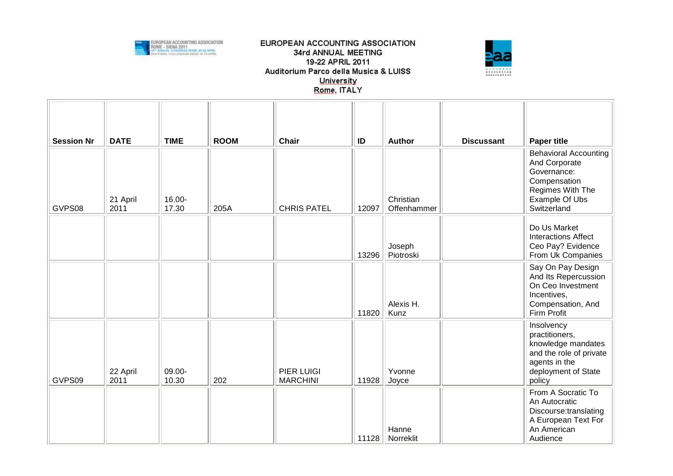



| <b>Session Nr</b><br>GVPS08 | <b>DATE</b><br>21 April<br>2011 | <b>TIME</b><br>16.00-<br>17.30 | <b>ROOM</b><br>205A | <b>Chair</b><br><b>CHRIS PATEL</b>   | ID<br>12097 | <b>Author</b><br>Christian<br>Offenhammer | <b>Discussant</b> | <b>Paper title</b><br><b>Behavioral Accounting</b><br>And Corporate<br>Governance:<br>Compensation<br>Regimes With The<br>Example Of Ubs<br>Switzerland |
|-----------------------------|---------------------------------|--------------------------------|---------------------|--------------------------------------|-------------|-------------------------------------------|-------------------|---------------------------------------------------------------------------------------------------------------------------------------------------------|
|                             |                                 |                                |                     |                                      | 13296       | Joseph<br>Piotroski                       |                   | Do Us Market<br><b>Interactions Affect</b><br>Ceo Pay? Evidence<br>From Uk Companies                                                                    |
|                             |                                 |                                |                     |                                      | 11820       | Alexis H.<br>Kunz                         |                   | Say On Pay Design<br>And Its Repercussion<br>On Ceo Investment<br>Incentives,<br>Compensation, And<br>Firm Profit                                       |
| GVPS09                      | 22 April<br>2011                | 09.00-<br>10.30                | 202                 | <b>PIER LUIGI</b><br><b>MARCHINI</b> | 11928       | Yvonne<br>Joyce                           |                   | Insolvency<br>practitioners,<br>knowledge mandates<br>and the role of private<br>agents in the<br>deployment of State<br>policy                         |
|                             |                                 |                                |                     |                                      | 11128       | Hanne<br>Norreklit                        |                   | From A Socratic To<br>An Autocratic<br>Discourse:translating<br>A European Text For<br>An American<br>Audience                                          |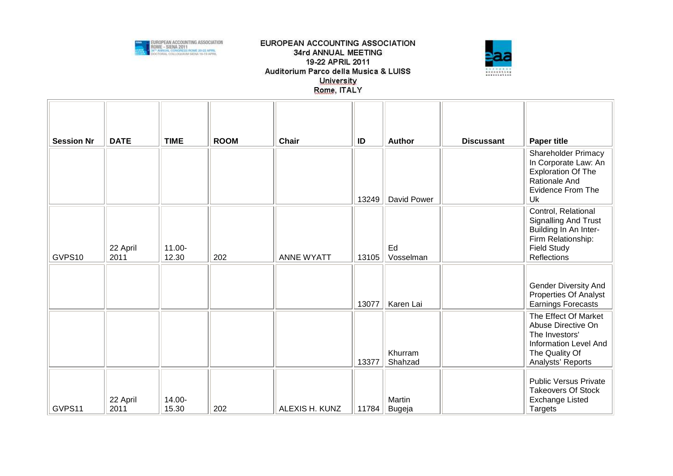



| <b>Session Nr</b> | <b>DATE</b>      | <b>TIME</b>     | <b>ROOM</b> | <b>Chair</b>      | ID    | Author             | <b>Discussant</b> | <b>Paper title</b>                                                                                                                  |
|-------------------|------------------|-----------------|-------------|-------------------|-------|--------------------|-------------------|-------------------------------------------------------------------------------------------------------------------------------------|
|                   |                  |                 |             |                   | 13249 | David Power        |                   | <b>Shareholder Primacy</b><br>In Corporate Law: An<br><b>Exploration Of The</b><br>Rationale And<br><b>Evidence From The</b><br>Uk  |
| GVPS10            | 22 April<br>2011 | 11.00-<br>12.30 | 202         | <b>ANNE WYATT</b> | 13105 | Ed<br>Vosselman    |                   | Control, Relational<br>Signalling And Trust<br>Building In An Inter-<br>Firm Relationship:<br><b>Field Study</b><br>Reflections     |
|                   |                  |                 |             |                   | 13077 | Karen Lai          |                   | <b>Gender Diversity And</b><br><b>Properties Of Analyst</b><br>Earnings Forecasts                                                   |
|                   |                  |                 |             |                   | 13377 | Khurram<br>Shahzad |                   | The Effect Of Market<br>Abuse Directive On<br>The Investors'<br><b>Information Level And</b><br>The Quality Of<br>Analysts' Reports |
| GVPS11            | 22 April<br>2011 | 14.00-<br>15.30 | 202         | ALEXIS H. KUNZ    | 11784 | Martin<br>Bugeja   |                   | <b>Public Versus Private</b><br><b>Takeovers Of Stock</b><br><b>Exchange Listed</b><br>Targets                                      |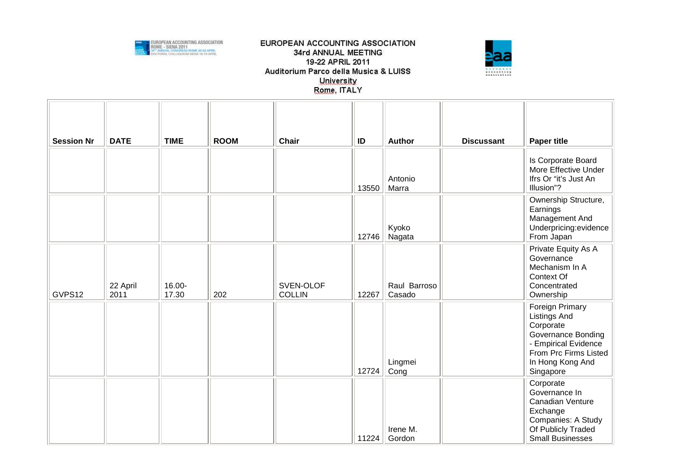



| <b>Session Nr</b> | <b>DATE</b>      | <b>TIME</b>     | <b>ROOM</b> | <b>Chair</b>               | ID    | <b>Author</b>          | <b>Discussant</b> | <b>Paper title</b>                                                                                                                                          |
|-------------------|------------------|-----------------|-------------|----------------------------|-------|------------------------|-------------------|-------------------------------------------------------------------------------------------------------------------------------------------------------------|
|                   |                  |                 |             |                            | 13550 | Antonio<br>Marra       |                   | Is Corporate Board<br>More Effective Under<br>Ifrs Or "it's Just An<br>Illusion"?                                                                           |
|                   |                  |                 |             |                            | 12746 | Kyoko<br>Nagata        |                   | Ownership Structure,<br>Earnings<br>Management And<br>Underpricing:evidence<br>From Japan                                                                   |
| GVPS12            | 22 April<br>2011 | 16.00-<br>17.30 | 202         | SVEN-OLOF<br><b>COLLIN</b> | 12267 | Raul Barroso<br>Casado |                   | Private Equity As A<br>Governance<br>Mechanism In A<br>Context Of<br>Concentrated<br>Ownership                                                              |
|                   |                  |                 |             |                            | 12724 | Lingmei<br>Cong        |                   | Foreign Primary<br><b>Listings And</b><br>Corporate<br>Governance Bonding<br>- Empirical Evidence<br>From Prc Firms Listed<br>In Hong Kong And<br>Singapore |
|                   |                  |                 |             |                            | 11224 | Irene M.<br>Gordon     |                   | Corporate<br>Governance In<br>Canadian Venture<br>Exchange<br>Companies: A Study<br>Of Publicly Traded<br><b>Small Businesses</b>                           |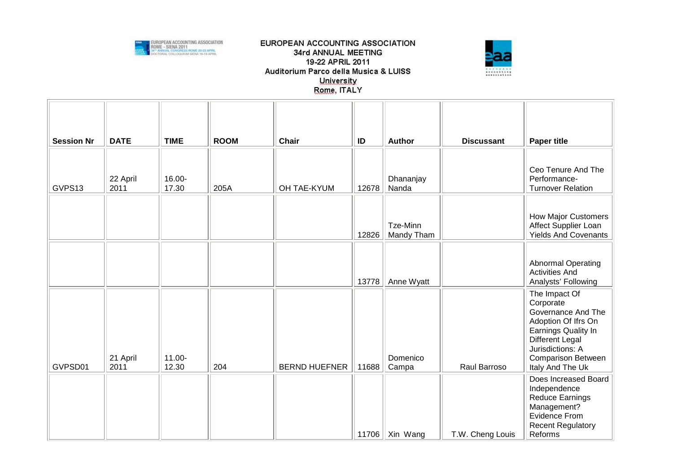



| <b>Session Nr</b> | <b>DATE</b>      | <b>TIME</b>     | <b>ROOM</b> | <b>Chair</b>         | ID    | Author                 | <b>Discussant</b> | <b>Paper title</b>                                                                                                                                                                            |
|-------------------|------------------|-----------------|-------------|----------------------|-------|------------------------|-------------------|-----------------------------------------------------------------------------------------------------------------------------------------------------------------------------------------------|
| GVPS13            | 22 April<br>2011 | 16.00-<br>17.30 | 205A        | OH TAE-KYUM          | 12678 | Dhananjay<br>Nanda     |                   | Ceo Tenure And The<br>Performance-<br><b>Turnover Relation</b>                                                                                                                                |
|                   |                  |                 |             |                      | 12826 | Tze-Minn<br>Mandy Tham |                   | <b>How Major Customers</b><br>Affect Supplier Loan<br><b>Yields And Covenants</b>                                                                                                             |
|                   |                  |                 |             |                      | 13778 | Anne Wyatt             |                   | <b>Abnormal Operating</b><br><b>Activities And</b><br>Analysts' Following                                                                                                                     |
| GVPSD01           | 21 April<br>2011 | 11.00-<br>12.30 | 204         | <b>BERND HUEFNER</b> | 11688 | Domenico<br>Campa      | Raul Barroso      | The Impact Of<br>Corporate<br>Governance And The<br>Adoption Of Ifrs On<br>Earnings Quality In<br><b>Different Legal</b><br>Jurisdictions: A<br><b>Comparison Between</b><br>Italy And The Uk |
|                   |                  |                 |             |                      | 11706 | Xin Wang               | T.W. Cheng Louis  | Does Increased Board<br>Independence<br>Reduce Earnings<br>Management?<br>Evidence From<br><b>Recent Regulatory</b><br>Reforms                                                                |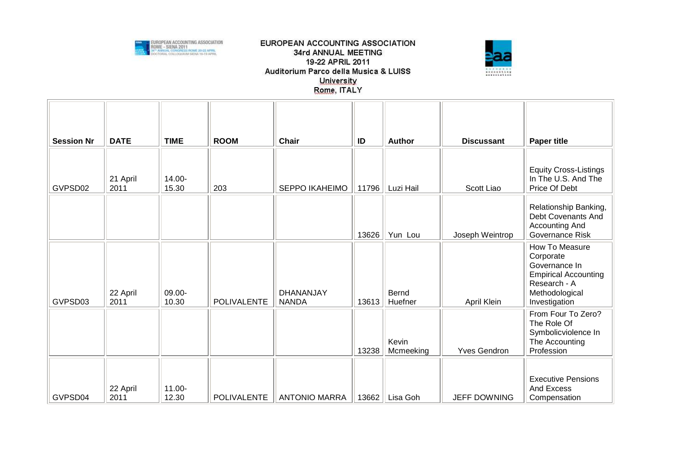



| <b>Session Nr</b> | <b>DATE</b>      | <b>TIME</b>     | <b>ROOM</b>        | <b>Chair</b>              | ID    | <b>Author</b>      | <b>Discussant</b>   | <b>Paper title</b>                                                                                                             |
|-------------------|------------------|-----------------|--------------------|---------------------------|-------|--------------------|---------------------|--------------------------------------------------------------------------------------------------------------------------------|
| GVPSD02           | 21 April<br>2011 | 14.00-<br>15.30 | 203                | <b>SEPPO IKAHEIMO</b>     | 11796 | Luzi Hail          | Scott Liao          | <b>Equity Cross-Listings</b><br>In The U.S. And The<br>Price Of Debt                                                           |
|                   |                  |                 |                    |                           | 13626 | Yun Lou            | Joseph Weintrop     | Relationship Banking,<br>Debt Covenants And<br>Accounting And<br>Governance Risk                                               |
| GVPSD03           | 22 April<br>2011 | 09.00-<br>10.30 | <b>POLIVALENTE</b> | DHANANJAY<br><b>NANDA</b> | 13613 | Bernd<br>Huefner   | April Klein         | How To Measure<br>Corporate<br>Governance In<br><b>Empirical Accounting</b><br>Research - A<br>Methodological<br>Investigation |
|                   |                  |                 |                    |                           | 13238 | Kevin<br>Mcmeeking | <b>Yves Gendron</b> | From Four To Zero?<br>The Role Of<br>Symbolicviolence In<br>The Accounting<br>Profession                                       |
| GVPSD04           | 22 April<br>2011 | 11.00-<br>12.30 | <b>POLIVALENTE</b> | <b>ANTONIO MARRA</b>      | 13662 | Lisa Goh           | <b>JEFF DOWNING</b> | <b>Executive Pensions</b><br><b>And Excess</b><br>Compensation                                                                 |